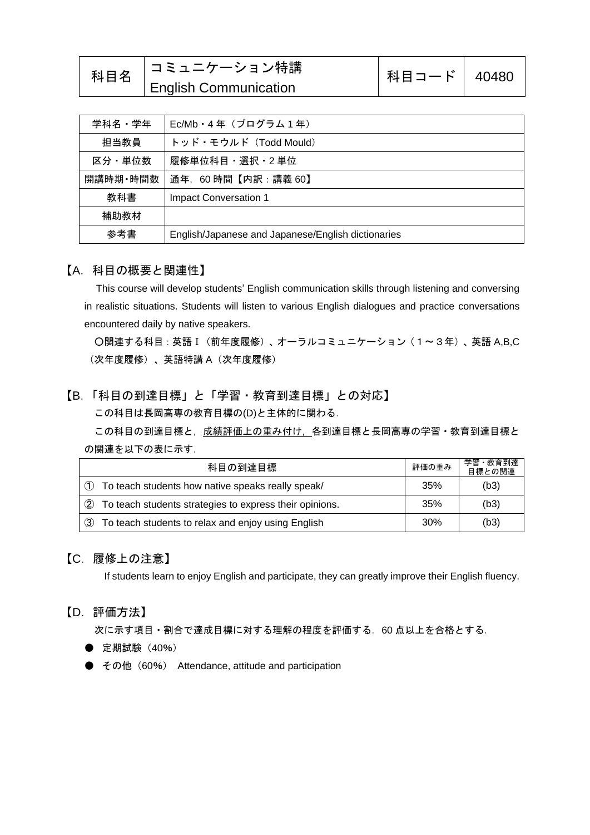|  | 科目名 コミュニケーション特講               | 科目コード   40480 |  |
|--|-------------------------------|---------------|--|
|  | $\vert$ English Communication |               |  |

| 学科名・学年   | Ec/Mb · 4年 (プログラム1年)                               |
|----------|----------------------------------------------------|
| 担当教員     | トッド・モウルド (Todd Mould)                              |
| 区分・単位数   | 履修単位科目・選択・2 単位                                     |
| 開講時期·時間数 | 通年, 60時間【内訳:講義 60】                                 |
| 教科書      | <b>Impact Conversation 1</b>                       |
| 補助教材     |                                                    |
| 参考書      | English/Japanese and Japanese/English dictionaries |

#### 【A.科目の概要と関連性】

This course will develop students' English communication skills through listening and conversing in realistic situations. Students will listen to various English dialogues and practice conversations encountered daily by native speakers.

○関連する科目:英語Ⅰ(前年度履修)、オーラルコミュニケーション(1~3年)、英語 A,B,C (次年度履修)、英語特講 A(次年度履修)

### 【B.「科目の到達目標」と「学習・教育到達目標」との対応】

この科目は長岡高専の教育目標の(D)と主体的に関わる.

この科目の到達目標と,成績評価上の重み付け、各到達目標と長岡高専の学習・教育到達目標と の関連を以下の表に示す.

| 科目の到達目標                                                         | 評価の重み | 学習·教育到達<br>目標との関連 |
|-----------------------------------------------------------------|-------|-------------------|
| (1)<br>To teach students how native speaks really speak/        | 35%   | (b3)              |
| (2)<br>To teach students strategies to express their opinions.  | 35%   | (b3)              |
| $\circ$ 3<br>To teach students to relax and enjoy using English | 30%   | (b3)              |

### 【C.履修上の注意】

If students learn to enjoy English and participate, they can greatly improve their English fluency.

#### 【D.評価方法】

次に示す項目・割合で達成目標に対する理解の程度を評価する.60 点以上を合格とする.

- 定期試験 (40%)
- その他 (60%) Attendance, attitude and participation